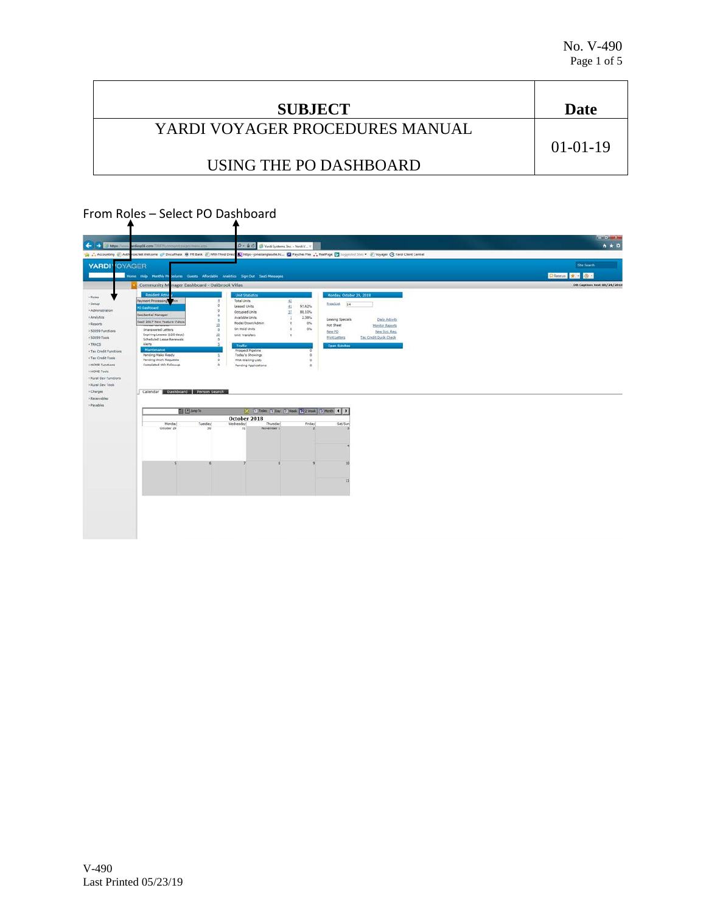| <b>SUBJECT</b>                  | Date       |
|---------------------------------|------------|
| YARDI VOYAGER PROCEDURES MANUAL |            |
|                                 | $01-01-19$ |
| USING THE PO DASHBOARD          |            |

## From Roles – Select PO Dashboard

| <b>OYAGER</b>                                                                    |                  |                                |                                                          |                                                          | <b>Sibe Search</b>                 |
|----------------------------------------------------------------------------------|------------------|--------------------------------|----------------------------------------------------------|----------------------------------------------------------|------------------------------------|
| Home Help Menthly Projectures Coests Affordable Analytics Sign Out SauS Messages |                  |                                |                                                          |                                                          | Chances * 8                        |
| Community Manager Dashboard - Oakbrook Villas                                    |                  |                                |                                                          |                                                          | <b>DB Caption: test 08/24/2018</b> |
| Resident Activi                                                                  |                  | <b>Unit Statistics</b>         |                                                          | Monday, October 29, 2018                                 |                                    |
| Payment Processing                                                               | O                | Total Units                    | 52                                                       | Prosablet 14                                             |                                    |
| PO Dashboard                                                                     | ø                | Leased Units<br>Occupied Units | $\pm 1$<br>97.62%<br>32<br>88.10%                        |                                                          |                                    |
| Residential Manager                                                              | <b>D</b>         | Available Units                | $\lambda$<br>2.38%                                       |                                                          |                                    |
| SaaS 2017 New Feature Videos                                                     | 30               | Model/Down/Admin               | o<br>0%                                                  | Leasing Specials<br>Daily Activity                       |                                    |
| Unanswered Letters<br>+ 50059 Functions                                          | h                | On Hold Units                  | $\mathfrak{a}$<br>O%                                     | Hot Sheet<br><b>Honitor Reports</b><br>New Syc. Reg.     |                                    |
| Expiring Leases (120 days)                                                       | 10               | Unit Transfers                 | $\alpha$                                                 | New PO<br><b>Print Letters</b><br>Tax Credit Quick Check |                                    |
| <b>Scheduled Lease Renewals</b><br>Alerts                                        | $\circ$          |                                |                                                          |                                                          |                                    |
| Maintenance                                                                      |                  | Traffic<br>Prospect Pipeline   |                                                          | <b>Open Batches</b>                                      |                                    |
| . Tax Credit Functions<br>Pending Make Ready                                     |                  | Today's Showings               | $^{\circ}$                                               |                                                          |                                    |
| + Tax Credit Tools<br><b>Pending Work Requests</b>                               | $\circ$          | PHA Waiting Lists              | $\alpha$                                                 |                                                          |                                    |
| + HOME Functions<br>Completed WO Followup                                        | $\alpha$         | Pending Applications           | $\alpha$                                                 |                                                          |                                    |
|                                                                                  |                  |                                |                                                          |                                                          |                                    |
|                                                                                  |                  |                                |                                                          |                                                          |                                    |
| . Rural Dev Functions                                                            |                  |                                |                                                          |                                                          |                                    |
|                                                                                  |                  |                                |                                                          |                                                          |                                    |
| Calendar Dashboard Person Search                                                 |                  |                                |                                                          |                                                          |                                    |
|                                                                                  |                  |                                |                                                          |                                                          |                                    |
|                                                                                  |                  |                                |                                                          |                                                          |                                    |
|                                                                                  | <b>El Zimete</b> |                                | 10 El Today ( Day ( ) Week ( ) 2 Week   12 Month   4   3 |                                                          |                                    |
|                                                                                  |                  | October 2018                   |                                                          |                                                          |                                    |
| Honday                                                                           | Tuesday          | Wednesday                      | Thursday<br>Friday.                                      | Sat/Sun                                                  |                                    |
| October 29                                                                       | 30               | 31                             | November 1                                               |                                                          |                                    |
|                                                                                  |                  |                                |                                                          |                                                          |                                    |
|                                                                                  |                  |                                |                                                          |                                                          |                                    |
|                                                                                  |                  |                                |                                                          |                                                          |                                    |
|                                                                                  |                  |                                |                                                          |                                                          |                                    |
|                                                                                  |                  |                                |                                                          |                                                          |                                    |
|                                                                                  |                  |                                |                                                          |                                                          |                                    |
|                                                                                  |                  |                                |                                                          |                                                          |                                    |
|                                                                                  |                  |                                |                                                          | 23                                                       |                                    |
|                                                                                  |                  |                                |                                                          |                                                          |                                    |
|                                                                                  |                  |                                |                                                          |                                                          |                                    |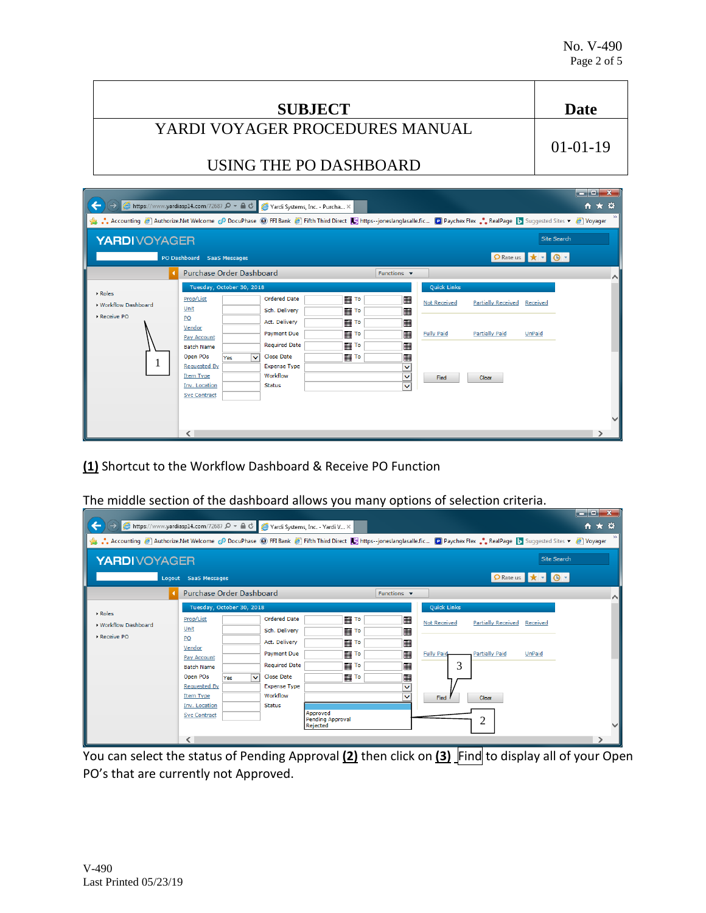$\mathbf{v}$ 

| <b>SUBJECT</b>                  | Date           |
|---------------------------------|----------------|
| YARDI VOYAGER PROCEDURES MANUAL |                |
|                                 | $01 - 01 - 19$ |
| USING THE PO DASHBOARD          |                |
|                                 |                |

| ☆★☆<br>$\epsilon$ https://www.yardiasp14.com/72687 $\Omega$ $\sim$ $\Omega$ $\sigma$<br>Yardi Systems, Inc. - Purcha X                                        |                                                                                                                                                                                                                                 |                                                                                                                                                                              |                                                            |                                                            |                                                                               |                                                             |                           |        |  |  |  |
|---------------------------------------------------------------------------------------------------------------------------------------------------------------|---------------------------------------------------------------------------------------------------------------------------------------------------------------------------------------------------------------------------------|------------------------------------------------------------------------------------------------------------------------------------------------------------------------------|------------------------------------------------------------|------------------------------------------------------------|-------------------------------------------------------------------------------|-------------------------------------------------------------|---------------------------|--------|--|--|--|
| SeaPage D Suggested Sites ▼ 2 Voyager (D For Bank 2 Fifth Third Direct D   https--joneslanglasalle.fic D Paychex Flex  RealPage D Suggested Sites ▼ 2 Voyager |                                                                                                                                                                                                                                 |                                                                                                                                                                              |                                                            |                                                            |                                                                               |                                                             |                           |        |  |  |  |
|                                                                                                                                                               | <b>Site Search</b><br><b>YARDIVOYAGER</b>                                                                                                                                                                                       |                                                                                                                                                                              |                                                            |                                                            |                                                                               |                                                             |                           |        |  |  |  |
|                                                                                                                                                               | PO Dashboard SaaS Messages                                                                                                                                                                                                      |                                                                                                                                                                              |                                                            |                                                            |                                                                               |                                                             | PRate us <b>*</b> - 0 -   |        |  |  |  |
|                                                                                                                                                               | <b>Purchase Order Dashboard</b>                                                                                                                                                                                                 |                                                                                                                                                                              |                                                            | Functions $\blacktriangledown$                             |                                                                               |                                                             |                           | $\sim$ |  |  |  |
| ▶ Roles<br>▶ Workflow Dashboard<br>Receive PO                                                                                                                 | Tuesday, October 30, 2018<br>Prop/List<br>Unit<br>PO<br>Vendor<br>Pay Account<br><b>Batch Name</b><br>Open POs<br>$\checkmark$<br>Yes<br><b>Requested By</b><br><b>Item Type</b><br><b>Inv. Location</b><br><b>Svc Contract</b> | <b>Ordered Date</b><br>Sch. Delivery<br>Act. Delivery<br><b>Payment Due</b><br><b>Required Date</b><br><b>Close Date</b><br><b>Expense Type</b><br>Workflow<br><b>Status</b> | ⊞ То<br><b>THE TO</b><br>       To<br>      To<br>      To | 冊<br>冊<br>冊<br>冊<br>冊<br>$\checkmark$<br>v<br>$\checkmark$ | <b>Quick Links</b><br><b>Not Received</b><br><b>Fully Paid</b><br><b>Find</b> | <b>Partially Received</b><br><b>Partially Paid</b><br>Clear | Received<br><b>UnPaid</b> |        |  |  |  |
|                                                                                                                                                               | ∢                                                                                                                                                                                                                               |                                                                                                                                                                              |                                                            |                                                            |                                                                               |                                                             |                           |        |  |  |  |

**(1)** Shortcut to the Workflow Dashboard & Receive PO Function

The middle section of the dashboard allows you many options of selection criteria.

|                                                                                                                                                                                                                                   | B https://www.yardiasp14.com/72687 Q - A C                                                                                                                                                                               |                                                                                                                                                                              | Nardi Systems, Inc. - Yardi V X                                                                                                 |                                                |                                                                             |                                                                  |                           | ____<br>₩ ₩ ₩ |  |
|-----------------------------------------------------------------------------------------------------------------------------------------------------------------------------------------------------------------------------------|--------------------------------------------------------------------------------------------------------------------------------------------------------------------------------------------------------------------------|------------------------------------------------------------------------------------------------------------------------------------------------------------------------------|---------------------------------------------------------------------------------------------------------------------------------|------------------------------------------------|-----------------------------------------------------------------------------|------------------------------------------------------------------|---------------------------|---------------|--|
| • Accounting <sup>2</sup> Authorize.Net Welcome c <sup>o</sup> DocuPhase (2) FFI Bank <sup>2</sup> Fifth Third Direct <b>K</b> <sub>3</sub> https--joneslanglasalle.fic [2] Paychex Flex • RealPage b Suggested Sites ▼ 2 Voyager |                                                                                                                                                                                                                          |                                                                                                                                                                              |                                                                                                                                 |                                                |                                                                             |                                                                  |                           |               |  |
| Site Search<br><b>YARDIVOYAGER</b>                                                                                                                                                                                                |                                                                                                                                                                                                                          |                                                                                                                                                                              |                                                                                                                                 |                                                |                                                                             |                                                                  |                           |               |  |
|                                                                                                                                                                                                                                   | Logout SaaS Messages                                                                                                                                                                                                     |                                                                                                                                                                              |                                                                                                                                 |                                                |                                                                             |                                                                  | PRate us * D -            |               |  |
|                                                                                                                                                                                                                                   | <b>Purchase Order Dashboard</b>                                                                                                                                                                                          |                                                                                                                                                                              |                                                                                                                                 | Functions $\blacktriangledown$                 |                                                                             |                                                                  |                           | ∧             |  |
| ▶ Roles<br>▶ Workflow Dashboard<br>Receive PO                                                                                                                                                                                     | Tuesday, October 30, 2018<br>Prop/List<br>Unit<br>PO<br>Vendor<br>Pay Account<br><b>Batch Name</b><br>Open POs<br>$\checkmark$<br>Yes<br><b>Requested By</b><br><b>Item Type</b><br>Inv. Location<br><b>Svc Contract</b> | <b>Ordered Date</b><br>Sch. Delivery<br>Act. Delivery<br><b>Payment Due</b><br><b>Required Date</b><br><b>Close Date</b><br><b>Expense Type</b><br>Workflow<br><b>Status</b> | To<br><b>   To</b><br>      To<br>       To<br><b>   To</b><br><b>The To</b><br>Approved<br><b>Pending Approval</b><br>Rejected | <br>冊<br>噩<br>匷<br>冊<br>疅<br>v<br>$\checkmark$ | <b>Quick Links</b><br><b>Not Received</b><br><b>Fully Paid</b><br>3<br>Find | <b>Partially Received</b><br><b>Partially Paid</b><br>Clear<br>2 | Received<br><b>UnPaid</b> |               |  |
|                                                                                                                                                                                                                                   | ∢                                                                                                                                                                                                                        |                                                                                                                                                                              |                                                                                                                                 |                                                |                                                                             |                                                                  |                           |               |  |

You can select the status of Pending Approval **(2)** then click on **(3)** Find to display all of your Open PO's that are currently not Approved.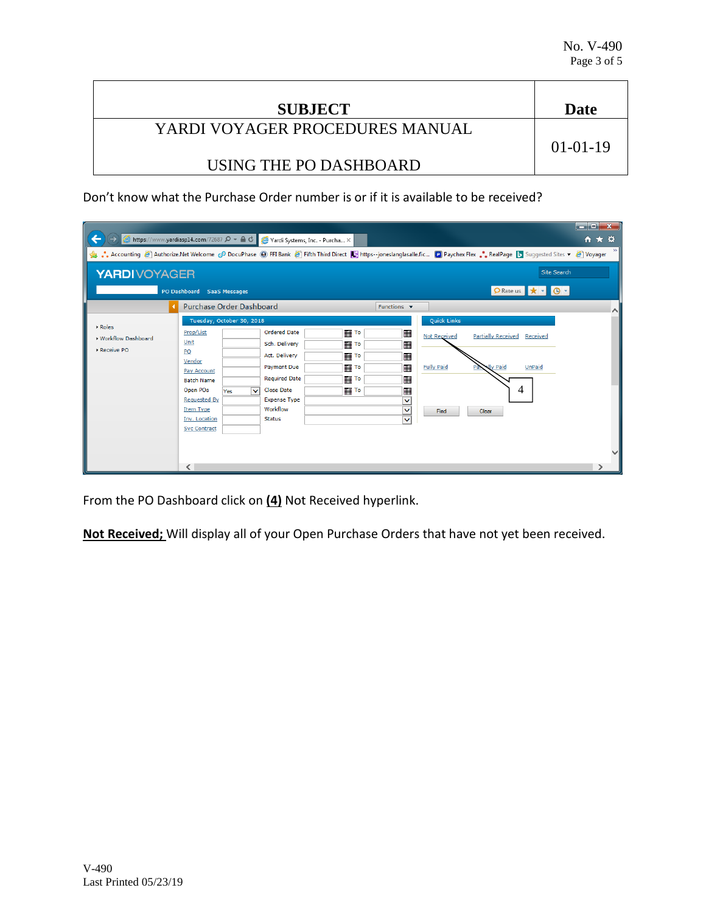| <b>SUBJECT</b>                  | Date           |
|---------------------------------|----------------|
| YARDI VOYAGER PROCEDURES MANUAL | $01 - 01 - 19$ |
| USING THE PO DASHBOARD          |                |

Don't know what the Purchase Order number is or if it is available to be received?

| $\Theta$ https://www.yardiasp14.com/72687 $\Omega$ $\sim$ $\Omega$ $\sigma$ $\sim$ Yardi Systems, Inc. - Purcha $\times$                                                  |                                                                                                                                                                                                                      |                                                                                                                                                                                              |                                                                     |                                                                                                  |                                                                                           | $\begin{array}{c c c c c c} \hline \multicolumn{3}{c }{\mathbf{I}} & \multicolumn{3}{c }{\mathbf{I}} & \multicolumn{3}{c }{\mathbf{X}} \\ \hline \multicolumn{3}{c }{\mathbf{I}} & \multicolumn{3}{c }{\mathbf{I}} & \multicolumn{3}{c }{\mathbf{X}} \\ \hline \multicolumn{3}{c }{\mathbf{I}} & \multicolumn{3}{c }{\mathbf{I}} & \multicolumn{3}{c }{\mathbf{I}} & \multicolumn{3}{c }{\mathbf{X}} \\ \hline \multicolumn{3}{c }{\mathbf{I}} & \multicolumn$<br>☆★☆ |  |  |  |
|---------------------------------------------------------------------------------------------------------------------------------------------------------------------------|----------------------------------------------------------------------------------------------------------------------------------------------------------------------------------------------------------------------|----------------------------------------------------------------------------------------------------------------------------------------------------------------------------------------------|---------------------------------------------------------------------|--------------------------------------------------------------------------------------------------|-------------------------------------------------------------------------------------------|-----------------------------------------------------------------------------------------------------------------------------------------------------------------------------------------------------------------------------------------------------------------------------------------------------------------------------------------------------------------------------------------------------------------------------------------------------------------------|--|--|--|
| Accounting @ Authorize.Net Welcome @ DocuPhase @ FFI Bank @ Fifth Third Direct C https--joneslanglasalle.fic D Paychex Flex  RealPage D Suggested Sites v @ Voyager<br>\$ |                                                                                                                                                                                                                      |                                                                                                                                                                                              |                                                                     |                                                                                                  |                                                                                           |                                                                                                                                                                                                                                                                                                                                                                                                                                                                       |  |  |  |
|                                                                                                                                                                           | <b>Site Search</b><br><b>YARDIVOYAGER</b>                                                                                                                                                                            |                                                                                                                                                                                              |                                                                     |                                                                                                  |                                                                                           |                                                                                                                                                                                                                                                                                                                                                                                                                                                                       |  |  |  |
|                                                                                                                                                                           | PO Dashboard SaaS Messages                                                                                                                                                                                           |                                                                                                                                                                                              |                                                                     |                                                                                                  |                                                                                           | <b>O</b> Rate us $\mathbf{r}$ $\mathbf{r}$ <b>0</b> $\mathbf{r}$                                                                                                                                                                                                                                                                                                                                                                                                      |  |  |  |
|                                                                                                                                                                           | <b>Purchase Order Dashboard</b>                                                                                                                                                                                      |                                                                                                                                                                                              |                                                                     | Functions $\blacktriangledown$                                                                   |                                                                                           | $\sim$                                                                                                                                                                                                                                                                                                                                                                                                                                                                |  |  |  |
| Roles<br>▶ Workflow Dashboard<br>Receive PO                                                                                                                               | Tuesday, October 30, 2018<br>Prop/List<br>Unit<br>PO<br>Vendor<br>Pay Account<br><b>Batch Name</b><br>Open POs<br>Yes<br><b>Requested By</b><br><b>Item Type</b><br><b>Inv. Location</b><br><b>Svc Contract</b><br>← | <b>Ordered Date</b><br>Sch. Delivery<br>Act. Delivery<br><b>Payment Due</b><br><b>Required Date</b><br><b>Close Date</b><br>$\checkmark$<br><b>Expense Type</b><br>Workflow<br><b>Status</b> | ⊞ ™<br>і ⊞∏ То<br>      To<br>  ⊞∏⊺∘<br><b>THE TO</b><br>        To | ⊞<br><b>Not Received</b><br>  <br><b>Fully Paid</b><br>  <br>  <br>v<br>v<br>Find<br>$\ddotmark$ | <b>Quick Links</b><br><b>Partially Received Received</b><br><b>Nly Paid</b><br>4<br>Clear | <b>UnPaid</b>                                                                                                                                                                                                                                                                                                                                                                                                                                                         |  |  |  |

From the PO Dashboard click on **(4)** Not Received hyperlink.

**Not Received;** Will display all of your Open Purchase Orders that have not yet been received.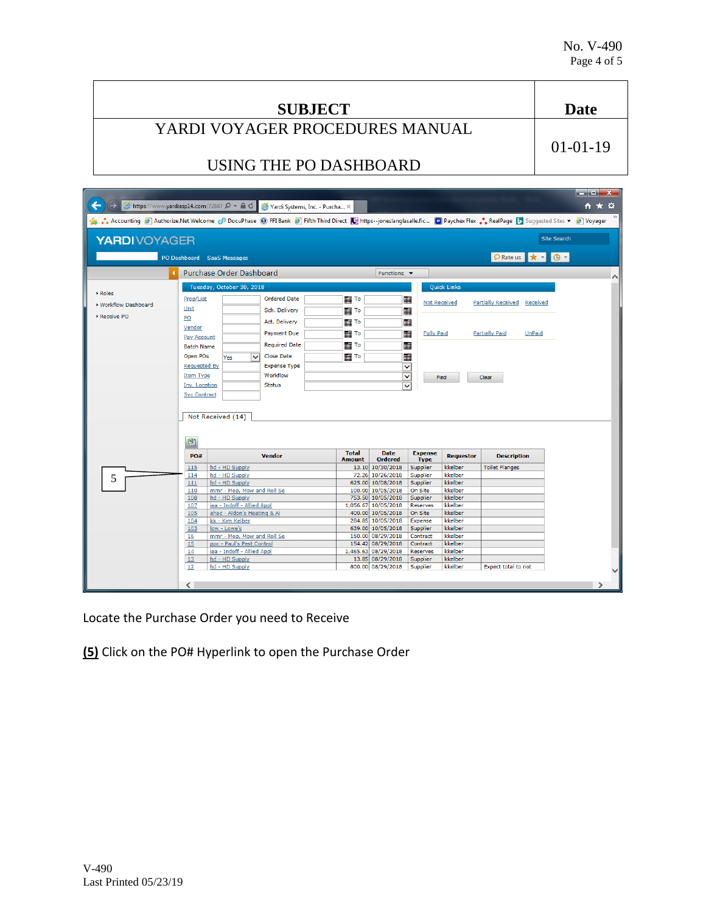| <b>SUBJECT</b>                  | Date           |
|---------------------------------|----------------|
| YARDI VOYAGER PROCEDURES MANUAL |                |
|                                 | $01 - 01 - 19$ |
| USING THE PO DASHBOARD          |                |
|                                 |                |

| <sup>△</sup> https://www.yardiasp14.com/72687 Ω ▼ △ C Yardi Systems, Inc. - Purcha ×                                                                              |                     |                                                           |                      |                  |                                          |                          |                    |                                 | كالكالص<br>₩ ₩ ₩   |   |
|-------------------------------------------------------------------------------------------------------------------------------------------------------------------|---------------------|-----------------------------------------------------------|----------------------|------------------|------------------------------------------|--------------------------|--------------------|---------------------------------|--------------------|---|
| Suggested Sites v (3) DocuPhase (3) FFI Bank (3) Fifth Third Direct (3) https--joneslanglasalle.fic (2) Paychex Flex . RealPage (5) Suggested Sites v (3) Voyager |                     |                                                           |                      |                  |                                          |                          |                    |                                 |                    |   |
| <b>YARDIVOYAGER</b>                                                                                                                                               |                     |                                                           |                      |                  |                                          |                          |                    |                                 | <b>Site Search</b> |   |
|                                                                                                                                                                   |                     | PO Dashboard SaaS Messages                                |                      |                  |                                          |                          |                    | PRate us * + 0 +                |                    |   |
|                                                                                                                                                                   |                     | <b>Purchase Order Dashboard</b>                           |                      |                  | Functions $\blacktriangledown$           |                          |                    |                                 |                    | ∧ |
|                                                                                                                                                                   |                     | Tuesday, October 30, 2018                                 |                      |                  |                                          |                          | <b>Quick Links</b> |                                 |                    |   |
| Roles                                                                                                                                                             | Prop/List           |                                                           | <b>Ordered Date</b>  | <b>   To</b>     |                                          | 囲<br><b>Not Received</b> |                    | Partially Received Received     |                    |   |
| ▶ Workflow Dashboard                                                                                                                                              | Unit                |                                                           | Sch. Delivery        | <b>THE TO</b>    |                                          |                          |                    |                                 |                    |   |
| Receive PO                                                                                                                                                        | PO                  |                                                           | Act. Delivery        | <b>   To</b>     |                                          |                          |                    |                                 |                    |   |
|                                                                                                                                                                   | Vendor              |                                                           |                      |                  |                                          |                          |                    |                                 |                    |   |
|                                                                                                                                                                   | Pay Account         |                                                           | Payment Due          | <b>   To</b>     |                                          | ■<br><b>Fully Paid</b>   |                    | <b>Partially Paid</b><br>UnPaid |                    |   |
|                                                                                                                                                                   | <b>Batch Name</b>   |                                                           | <b>Required Date</b> | To               |                                          |                          |                    |                                 |                    |   |
|                                                                                                                                                                   | Open POs            | $\checkmark$<br>Yes                                       | <b>Close Date</b>    | <b>       To</b> |                                          | ■                        |                    |                                 |                    |   |
|                                                                                                                                                                   | <b>Requested By</b> |                                                           | <b>Expense Type</b>  |                  |                                          | v                        |                    |                                 |                    |   |
|                                                                                                                                                                   | <b>Item Type</b>    |                                                           | Workflow             |                  |                                          | v                        | Find               | Clear                           |                    |   |
|                                                                                                                                                                   | Inv. Location       |                                                           | <b>Status</b>        |                  |                                          |                          |                    |                                 |                    |   |
|                                                                                                                                                                   | <b>Svc Contract</b> |                                                           |                      |                  |                                          |                          |                    |                                 |                    |   |
|                                                                                                                                                                   |                     |                                                           |                      |                  |                                          |                          |                    |                                 |                    |   |
|                                                                                                                                                                   |                     | Not Received (14)                                         |                      |                  |                                          |                          |                    |                                 |                    |   |
|                                                                                                                                                                   |                     |                                                           |                      |                  |                                          |                          |                    |                                 |                    |   |
|                                                                                                                                                                   |                     |                                                           |                      |                  |                                          |                          |                    |                                 |                    |   |
|                                                                                                                                                                   | 團                   |                                                           |                      |                  |                                          |                          |                    |                                 |                    |   |
|                                                                                                                                                                   | PO#                 |                                                           | <b>Vendor</b>        | <b>Total</b>     | <b>Date</b>                              | <b>Expense</b>           | <b>Requestor</b>   | <b>Description</b>              |                    |   |
|                                                                                                                                                                   |                     |                                                           |                      | <b>Amount</b>    | <b>Ordered</b>                           | <b>Type</b>              |                    |                                 |                    |   |
|                                                                                                                                                                   | 115<br>114          | hd - HD Supply<br>hd - HD Supply                          |                      |                  | 13.10 10/30/2018<br>72.26 10/26/2018     | Supplier<br>Supplier     | kkelber<br>kkelber | <b>Toilet Flanges</b>           |                    |   |
| 5                                                                                                                                                                 | 111                 | hd - HD Supply                                            |                      |                  | 625.00 10/08/2018                        | Supplier                 | kkelber            |                                 |                    |   |
|                                                                                                                                                                   | 110                 | mmr - Mop, Mow and Roll Se                                |                      |                  | 100.00 10/05/2018                        | On Site                  | kkelber            |                                 |                    |   |
|                                                                                                                                                                   | 108                 | hd - HD Supply                                            |                      |                  | 753.50 10/05/2018                        | Supplier                 | kkelber            |                                 |                    |   |
|                                                                                                                                                                   | 107<br>105          | iaa - Indoff - Allied Appl<br>ahac - Aldon's Heating & Ai |                      |                  | 1,056.67 10/05/2018<br>400.00 10/05/2018 | Reserves<br>On Site      | kkelber<br>kkelber |                                 |                    |   |
|                                                                                                                                                                   | 104                 | kk - Kim Kelber                                           |                      |                  | 284.85 10/05/2018                        | Expense                  | kkelber            |                                 |                    |   |
|                                                                                                                                                                   | 103                 | low - Lowe's                                              |                      |                  | 639.00 10/05/2018                        | Supplier                 | kkelber            |                                 |                    |   |
|                                                                                                                                                                   | 16                  | mmr - Mop, Mow and Roll Se                                |                      |                  | 150.00 08/29/2018                        | Contract                 | kkelber            |                                 |                    |   |
|                                                                                                                                                                   | 15                  | ppc - Paul's Pest Control                                 |                      |                  | 154.42 08/29/2018                        | Contract                 | kkelber            |                                 |                    |   |
|                                                                                                                                                                   | 14                  | iaa - Indoff - Allied Appl                                |                      |                  | 1,465.63 08/29/2018                      | Reserves                 | kkelber            |                                 |                    |   |
|                                                                                                                                                                   | 13<br>12            | hd - HD Supply<br>hd - HD Supply                          |                      |                  | 13.85 08/29/2018<br>800.00 08/29/2018    | Supplier<br>Supplier     | kkelber<br>kkelber | Expect total to not             |                    |   |
|                                                                                                                                                                   |                     |                                                           |                      |                  |                                          |                          |                    |                                 |                    |   |
|                                                                                                                                                                   | $\langle$           |                                                           |                      |                  |                                          |                          |                    |                                 | ⋗                  |   |
|                                                                                                                                                                   |                     |                                                           |                      |                  |                                          |                          |                    |                                 |                    |   |

Locate the Purchase Order you need to Receive

**(5)** Click on the PO# Hyperlink to open the Purchase Order